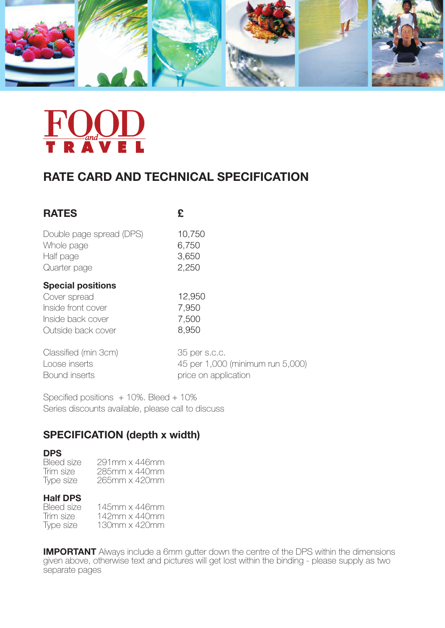

## **RATE CARD AND TECHNICAL SPECIFICATION**

| <b>RATES</b>                                                                                              | £                                 |
|-----------------------------------------------------------------------------------------------------------|-----------------------------------|
| Double page spread (DPS)                                                                                  | 10,750                            |
| Whole page                                                                                                | 6,750                             |
| Half page                                                                                                 | 3,650                             |
| Quarter page                                                                                              | 2,250                             |
| <b>Special positions</b><br>Cover spread<br>Inside front cover<br>Inside back cover<br>Outside back cover | 12,950<br>7,950<br>7,500<br>8,950 |
| Classified (min 3cm)                                                                                      | 35 per s.c.c.                     |
| Loose inserts                                                                                             | 45 per 1,000 (minimum run 5,000)  |
| Bound inserts                                                                                             | price on application              |

Specified positions + 10%. Bleed + 10% Series discounts available, please call to discuss

## **SPECIFICATION (depth x width)**

**DPS**<br>Bleed size Bleed size 291mm x 446mm<br>Trim size 285mm x 440mm Trim size 285mm x 440mm<br>Type size 265mm x 420mm 265mm x 420mm

# **Half DPS**<br>**Bleed size**

Bleed size 145mm x 446mm<br>Trim size 142mm x 440mm Trim size 142mm x 440mm<br>Type size 130mm x 420mm 130mm x 420mm

**IMPORTANT** Always include a 6mm gutter down the centre of the DPS within the dimensions given above, otherwise text and pictures will get lost within the binding - please supply as two separate pages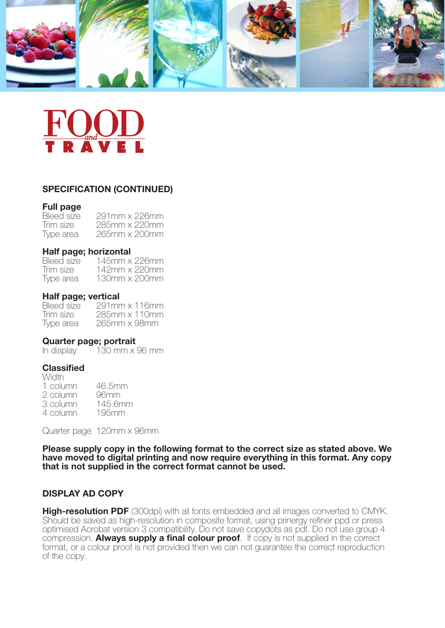

### **SPECIFICATION (CONTINUED)**

## **Full page**

Bleed size 291mm x 226mm<br>Trim size 285mm x 220mm 285mm x 220mm Type area 265mm x 200mm

# **Half page; horizontal**<br>Bleed size 145mm x

Bleed size 145mm x 226mm<br>Trim size 142mm x 220mm 142mm x 220mm Type area 130mm x 200mm

### **Half page; vertical**

Bleed size 291mm x 116mm<br>Trim size 285mm x 110mm Trim size 285mm x 110mm<br>Type area 265mm x 98mm 265mm x 98mm

### **Quarter page; portrait**

In display  $130$  mm x 96 mm

### **Classified**

**Width** 1 column 46.5mm 2 column 96mm<br>3 column 145.6mm 3 column 145.6mm<br>4 column 195mm 4 column

Quarter page 120mm x 96mm

**Please supply copy in the following format to the correct size as stated above. We have moved to digital printing and now require everything in this format. Any copy that is not supplied in the correct format cannot be used.**

### **DISPLAY AD COPY**

**High-resolution PDF** (300dpi) with all fonts embedded and all images converted to CMYK. Should be saved as high-resolution in composite format, using prinergy refiner ppd or press optimised Acrobat version 3 compatibility. Do not save copydots as pdf. Do not use group 4 compression. **Always supply a final colour proof**. If copy is not supplied in the correct format, or a colour proof is not provided then we can not guarantee the correct reproduction of the copy.